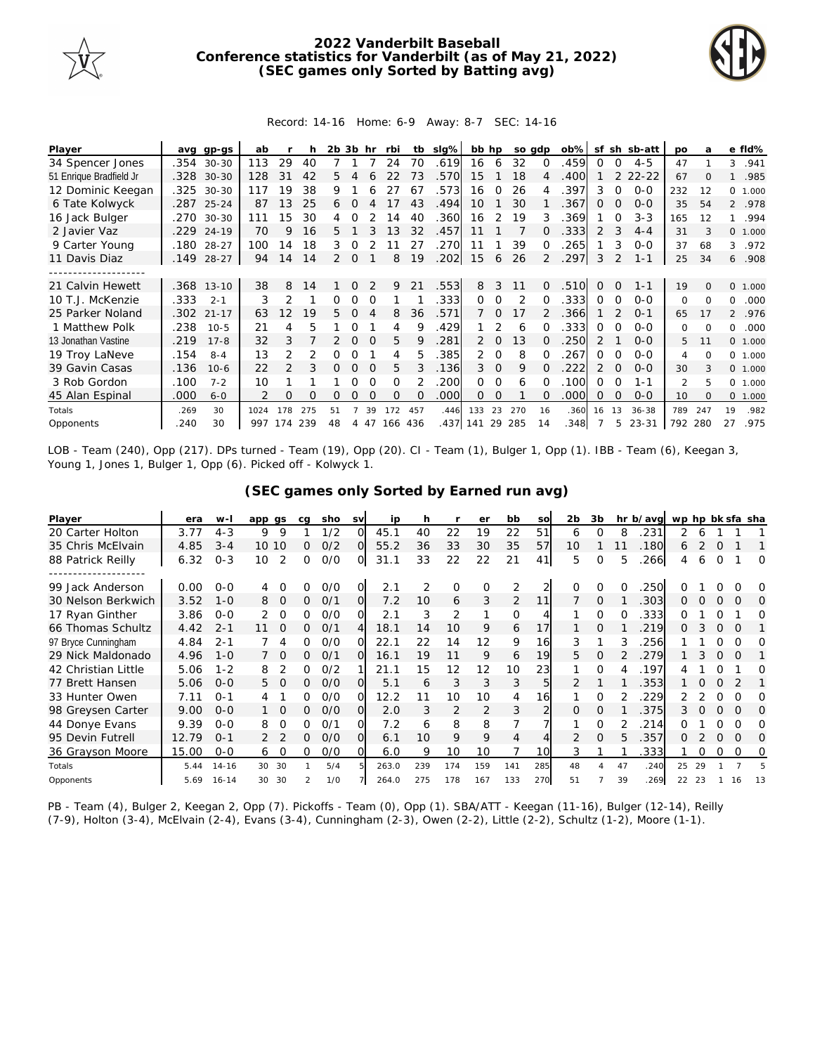

## **2022 Vanderbilt Baseball Conference statistics for Vanderbilt (as of May 21, 2022) (SEC games only Sorted by Batting avg)**



## Record: 14-16 Home: 6-9 Away: 8-7 SEC: 14-16

| Player                  | avq  | $qp-qs$    | ab   |               | h        | 2b.           | 3b       | hr       | rbi      | tb       | slg% | bb hp         |                | so adp        |               | $ob\%$ | sf            | sh            | sb-att    | po             | a        |              | e fld%  |
|-------------------------|------|------------|------|---------------|----------|---------------|----------|----------|----------|----------|------|---------------|----------------|---------------|---------------|--------|---------------|---------------|-----------|----------------|----------|--------------|---------|
| 34 Spencer Jones        |      | .354 30-30 | 113  | 29            | 40       |               |          |          | 24       | 70       | .619 | 16            | 6              | 32            | $\Omega$      | .459   | $\Omega$      | $\Omega$      | $4 - 5$   | 47             |          |              | 3 .941  |
| 51 Enrique Bradfield Jr | .328 | $30 - 30$  | 128  | 31            | 42       | 5.            |          |          | 22       | 73       | .570 | 15            |                | 18            |               | .400   |               | $\mathcal{P}$ | $22 - 22$ | 67             | $\Omega$ | $\mathbf{1}$ | .985    |
| 12 Dominic Keegan       | .325 | 30-30      | 117  | 19            | 38       | 9.            |          |          |          | 67       | .573 | 16            | $\Omega$       | 26            |               | .397   | 3             | $\Omega$      | $O - O$   | 232            | 12       |              | 0 1.000 |
| 6 Tate Kolwyck          | .287 | $25 - 24$  | 87   | 13            | 25       | 6             |          |          |          | 43       | .494 | 10            |                | 30            |               | 367    | O             | O             | $O-O$     | 35             | 54       |              | 2 .978  |
| 16 Jack Bulger          | .270 | $30 - 30$  | 111  | 15            | 30       | 4             | Ω        |          | 14       | 40       | 360  | 16            |                | 19            |               | .369   |               | O             | $3 - 3$   | 165            | 12       | $\mathbf{1}$ | .994    |
| 2 Javier Vaz            | .229 | $24 - 19$  | 70   | 9             | 16       | 5.            |          | 3        | 13       | 32       | .457 | 11            |                |               |               | .333   | 2             | 3             | $4 - 4$   | 31             |          |              | 0 1.000 |
| 9 Carter Young          | .180 | $28 - 27$  | 100  | 14            | 18       | 3             | 0        |          |          | 27       | .270 | 11            |                | 39            | $\Omega$      | 265    |               | 3             | $0 - 0$   | 37             | 68       | 3            | .972    |
| 11 Davis Diaz           | .149 | $28 - 27$  | 94   | 14            | 14       | $\mathcal{P}$ | $\Omega$ |          | 8        | 19       | .202 | 15            | 6              | 26            | $\mathcal{P}$ | .297   | 3             | 2             | $1 - 1$   | 25             | 34       |              | 6.908   |
|                         |      |            |      |               |          |               |          |          |          |          |      |               |                |               |               |        |               |               |           |                |          |              |         |
| 21 Calvin Hewett        |      | .368 13-10 | 38   | 8             | 14       |               | $\Omega$ |          | 9        | 21       | .553 | 8             | 3              | 11            | $\Omega$      | .510   | $\Omega$      | $\Omega$      | $1 - 1$   | 19             | $\Omega$ |              | 0 1.000 |
| 10 T.J. McKenzie        | .333 | $2 - 1$    | 3    | $\mathcal{P}$ |          | 0             |          |          |          |          | .333 | 0             | $\Omega$       | $\mathcal{P}$ |               | .333   | $\Omega$      | $\Omega$      | $0 - 0$   | 0              | $\Omega$ | 0            | .000    |
| 25 Parker Noland        | .302 | $21 - 17$  | 63   | 12            | 19       | 5.            | O        |          | 8        | 36       | .571 |               | $\Omega$       | 17            |               | .366   |               |               | $0 - 1$   | 65             | 17       |              | 2 .976  |
| 1 Matthew Polk          | .238 | $10 - 5$   | 21   | 4             | 5        |               | Ω        |          | 4        | 9        | .429 |               | 2              | 6             |               | 333    | O             | ∩             | $O-O$     | 0              | $\Omega$ | $\Omega$     | .000    |
| 13 Jonathan Vastine     | .219 | $17 - 8$   | 32   | 3             |          | 2             | $\Omega$ | $\Omega$ | 5.       | 9        | .281 | $\mathcal{P}$ | $\Omega$       | 13            | <sup>o</sup>  | .250   | $\mathcal{P}$ |               | $0 - 0$   | 5              | 11       |              | 0 1.000 |
| 19 Troy LaNeve          | .154 | $8 - 4$    | 13   | $\mathcal{P}$ | 2        | 0             | O        |          | 4        | 5        | .385 | $\mathcal{P}$ | $\Omega$       | 8             |               | 267    | $\Omega$      | $\Omega$      | $0 - 0$   | 4              | O        | $\Omega$     | 1.000   |
| 39 Gavin Casas          | .136 | $10-6$     | 22   | $\mathcal{P}$ | 3        | 0             | $\Omega$ | $\Omega$ | 5        | 3        | .136 | 3             | $\overline{0}$ | 9             | <sup>n</sup>  | .222   | 2             | $\Omega$      | $0 - 0$   | 30             | 3        |              | 0 1.000 |
| 3 Rob Gordon            | .100 | $7 - 2$    | 10   |               |          |               |          |          | $\Omega$ |          | 200  | 0             | $\Omega$       | 6             |               | 100    | 0             | $\Omega$      | 1-1       | $\mathfrak{D}$ | 5        | $\Omega$     | 1.000   |
| 45 Alan Espinal         | .000 | $6 - 0$    | 2    | O             | $\Omega$ | 0             | $\Omega$ | $\Omega$ | $\Omega$ | $\Omega$ | .000 | $\Omega$      | $\Omega$       |               | ∩             | .000   | Ω             | $\Omega$      | $0 - 0$   | 10             | $\Omega$ |              | 0 1.000 |
| Totals                  | .269 | 30         | 1024 | 178           | 275      | 51            |          | 39       | 72       | 457      | .446 | 133           | 23             | 270           | 16            | .360   | 16            | 13            | $36 - 38$ | 789            | 247      | 19           | .982    |
| Opponents               | 240  | 30         | 997  | 174 239       |          | 48            |          | 4 47     | 166 436  |          | .437 | 141 29        |                | 285           | 14            | .348   |               | 5.            | 23-31     | 792            | 280      | 27           | .975    |

LOB - Team (240), Opp (217). DPs turned - Team (19), Opp (20). CI - Team (1), Bulger 1, Opp (1). IBB - Team (6), Keegan 3, Young 1, Jones 1, Bulger 1, Opp (6). Picked off - Kolwyck 1.

## **(SEC games only Sorted by Earned run avg)**

| Player              | era   | $W -$     | app gs          |          | ca | sho | <b>SV</b>      | ip    | h   |     | er             | bb  | SO  | 2 <sub>b</sub> | 3b       |    | hr b/avg | wp hp bk sfa sha |    |          |          |          |
|---------------------|-------|-----------|-----------------|----------|----|-----|----------------|-------|-----|-----|----------------|-----|-----|----------------|----------|----|----------|------------------|----|----------|----------|----------|
| 20 Carter Holton    | 3.77  | $4 - 3$   | 9               | 9        |    | 1/2 | Ω              | 45.1  | 40  | 22  | 19             | 22  | 51  | 6              | ∩        | 8  | 231      | 2                | 6  |          |          |          |
| 35 Chris McElvain   | 4.85  | $3 - 4$   | 10 10           |          | 0  | O/2 | Ω              | 55.2  | 36  | 33  | 30             | 35  | 57  | 10             |          |    | .180     | 6                |    | $\Omega$ |          |          |
| 88 Patrick Reilly   | 6.32  | $O - 3$   | 10              | 2        | 0  | 0/0 | O              | 31.1  | 33  | 22  | 22             | 21  | 41  | 5              | Ω        | 5  | 266      | 4                | 6  | ∩        |          | O        |
| 99 Jack Anderson    | 0.00  | $0 - 0$   | 4               | $\Omega$ | 0  | 0/0 | Ω              | 2.1   |     | 0   | $\Omega$       | 2   |     |                | O        |    | 250      |                  |    |          |          | O        |
| 30 Nelson Berkwich  | 3.52  | $1 - 0$   | 8               | $\Omega$ | 0  | 0/1 | O              | 7.2   | 10  | 6   | 3              | 2   | 11  |                | O        |    | 303      | 0                |    | O        |          | O        |
| 17 Ryan Ginther     | 3.86  | $0 - 0$   | 2               | $\Omega$ | Ω  | O/O | Ω              | 2.1   | 3   | 2   |                | 0   |     |                | O        |    | 333      | Ω                |    |          |          | Ω        |
| 66 Thomas Schultz   | 4.42  | $2 - 1$   | 11              | $\Omega$ | 0  | O/1 | $\overline{4}$ | 18.1  | 14  | 10  | 9              | 6   | 17  |                | $\Omega$ |    | 219      | Ω.               | 3  | $\Omega$ | $\Omega$ |          |
| 97 Bryce Cunningham | 4.84  | $2 - 1$   |                 | 4        | 0  | 0/0 | Ω              | 22.1  | 22  | 14  | 12             | 9   | 16  | 3              |          | 3  | .256     |                  |    |          | O        | O        |
| 29 Nick Maldonado   | 4.96  | $1 - 0$   |                 | $\Omega$ | 0  | 0/1 | Ω              | 16.1  | 19  | 11  | 9              | 6   | 19  | 5.             | O        |    | 279      |                  |    | $\Omega$ | $\Omega$ |          |
| 42 Christian Little | 5.06  | $1 - 2$   | 8               |          | 0  | 0/2 |                | 21.1  | 15  | 12  | 12             | 10  | 23  |                | $\Omega$ |    | 197      |                  |    |          |          | Ω        |
| 77 Brett Hansen     | 5.06  | $0 - 0$   | 5.              | $\Omega$ | 0  | O/O |                | 5.1   | 6   | 3   | 3              | 3   | 5   |                |          |    | 353      |                  | 0  |          |          |          |
| 33 Hunter Owen      | 7.11  | $O - 1$   | 4               |          |    | 0/0 | O              | 12.2  |     | 10  | 10             | 4   | 16  |                | $\Omega$ |    | 229      |                  |    |          |          | Ω        |
| 98 Greysen Carter   | 9.00  | $0 - 0$   | $1\quad \Omega$ |          | 0  | O/O | $\Omega$       | 2.0   | 3   | 2   | $\overline{2}$ | 3   |     | $\Omega$       | $\Omega$ |    | 375      | 3                | ∩  | $\Omega$ | $\Omega$ | O        |
| 44 Donye Evans      | 9.39  | $0 - 0$   | 8               | 0        | 0  | 0/1 | Ω              | 7.2   | 6   | 8   | 8              |     |     |                | $\Omega$ |    | 214      | ∩                |    | Ω        | 0        | 0        |
| 95 Devin Futrell    | 12.79 | $O - 1$   | 2 <sub>2</sub>  |          | 0  | O/O | Ω              | 6.1   | 10  | 9   | 9              | 4   |     |                | $\Omega$ | 5. | 357      | 0                |    | $\Omega$ | $\Omega$ | $\Omega$ |
| 36 Grayson Moore    | 15.00 | $0 - 0$   | 6               | 0        | 0  | O/O | Ω              | 6.0   | 9   | 10  | 10             |     | 10  | 3              |          |    | 333      |                  | 0  | 0        | $\Omega$ | O        |
| Totals              | 5.44  | $14 - 16$ | 30              | 30       |    | 5/4 |                | 263.0 | 239 | 174 | 159            | 141 | 285 | 48             |          | 47 | .240     | 25               | 29 |          |          | 5        |
| Opponents           | 5.69  | $16 - 14$ | 30              | 30       |    | 1/0 |                | 264.0 | 275 | 178 | 167            | 133 | 270 | 51             |          | 39 | .269     | 22               | 23 |          | 16       | 13       |

PB - Team (4), Bulger 2, Keegan 2, Opp (7). Pickoffs - Team (0), Opp (1). SBA/ATT - Keegan (11-16), Bulger (12-14), Reilly (7-9), Holton (3-4), McElvain (2-4), Evans (3-4), Cunningham (2-3), Owen (2-2), Little (2-2), Schultz (1-2), Moore (1-1).